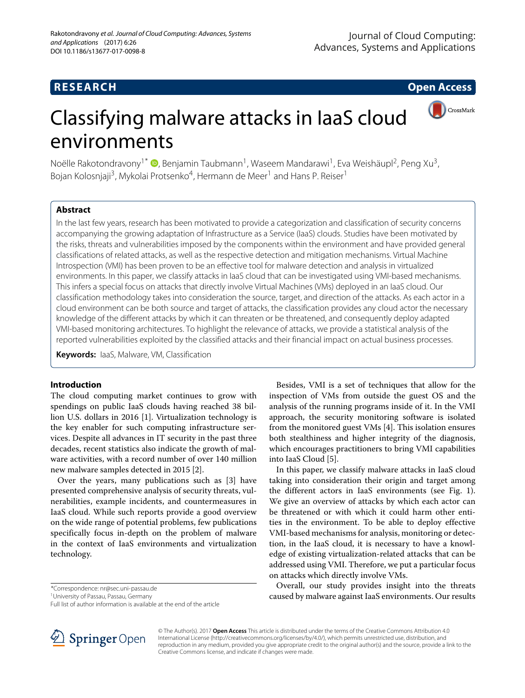# **RESEARCH Open Access**

CrossMark

# Classifying malware attacks in IaaS cloud environments

Noëlle Rakotondravony<sup>1\*</sup> (D[,](http://orcid.org/0000-0002-7594-6349) Benjamin Taubmann<sup>1</sup>, Waseem Mandarawi<sup>1</sup>, Eva Weishäupl<sup>2</sup>, Peng Xu<sup>3</sup>, Bojan Kolosnjaji<sup>3</sup>, Mykolai Protsenko<sup>4</sup>, Hermann de Meer<sup>1</sup> and Hans P. Reiser<sup>1</sup>

# **Abstract**

In the last few years, research has been motivated to provide a categorization and classification of security concerns accompanying the growing adaptation of Infrastructure as a Service (IaaS) clouds. Studies have been motivated by the risks, threats and vulnerabilities imposed by the components within the environment and have provided general classifications of related attacks, as well as the respective detection and mitigation mechanisms. Virtual Machine Introspection (VMI) has been proven to be an effective tool for malware detection and analysis in virtualized environments. In this paper, we classify attacks in IaaS cloud that can be investigated using VMI-based mechanisms. This infers a special focus on attacks that directly involve Virtual Machines (VMs) deployed in an IaaS cloud. Our classification methodology takes into consideration the source, target, and direction of the attacks. As each actor in a cloud environment can be both source and target of attacks, the classification provides any cloud actor the necessary knowledge of the different attacks by which it can threaten or be threatened, and consequently deploy adapted VMI-based monitoring architectures. To highlight the relevance of attacks, we provide a statistical analysis of the reported vulnerabilities exploited by the classified attacks and their financial impact on actual business processes.

**Keywords:** IaaS, Malware, VM, Classification

# **Introduction**

The cloud computing market continues to grow with spendings on public IaaS clouds having reached 38 billion U.S. dollars in 2016 [\[1\]](#page-10-0). Virtualization technology is the key enabler for such computing infrastructure services. Despite all advances in IT security in the past three decades, recent statistics also indicate the growth of malware activities, with a record number of over 140 million new malware samples detected in 2015 [\[2\]](#page-10-1).

Over the years, many publications such as [\[3\]](#page-10-2) have presented comprehensive analysis of security threats, vulnerabilities, example incidents, and countermeasures in IaaS cloud. While such reports provide a good overview on the wide range of potential problems, few publications specifically focus in-depth on the problem of malware in the context of IaaS environments and virtualization technology.

\*Correspondence: [nr@sec.uni-passau.de](mailto: nr@sec.uni-passau.de)

1University of Passau, Passau, Germany

Besides, VMI is a set of techniques that allow for the inspection of VMs from outside the guest OS and the analysis of the running programs inside of it. In the VMI approach, the security monitoring software is isolated from the monitored guest VMs [\[4\]](#page-10-3). This isolation ensures both stealthiness and higher integrity of the diagnosis, which encourages practitioners to bring VMI capabilities into IaaS Cloud [\[5\]](#page-10-4).

In this paper, we classify malware attacks in IaaS cloud taking into consideration their origin and target among the different actors in IaaS environments (see Fig. [1\)](#page-1-0). We give an overview of attacks by which each actor can be threatened or with which it could harm other entities in the environment. To be able to deploy effective VMI-based mechanisms for analysis, monitoring or detection, in the IaaS cloud, it is necessary to have a knowledge of existing virtualization-related attacks that can be addressed using VMI. Therefore, we put a particular focus on attacks which directly involve VMs.

Overall, our study provides insight into the threats caused by malware against IaaS environments. Our results



© The Author(s). 2017 **Open Access** This article is distributed under the terms of the Creative Commons Attribution 4.0 International License [\(http://creativecommons.org/licenses/by/4.0/\)](http://creativecommons.org/licenses/by/4.0/), which permits unrestricted use, distribution, and reproduction in any medium, provided you give appropriate credit to the original author(s) and the source, provide a link to the Creative Commons license, and indicate if changes were made.

Full list of author information is available at the end of the article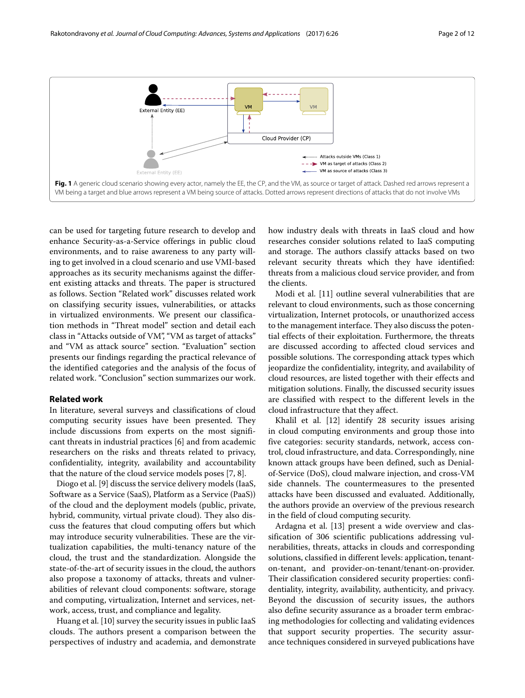

<span id="page-1-0"></span>can be used for targeting future research to develop and enhance Security-as-a-Service offerings in public cloud environments, and to raise awareness to any party willing to get involved in a cloud scenario and use VMI-based approaches as its security mechanisms against the different existing attacks and threats. The paper is structured as follows. Section ["Related work"](#page-1-1) discusses related work on classifying security issues, vulnerabilities, or attacks in virtualized environments. We present our classification methods in ["Threat model"](#page-2-0) section and detail each class in ["Attacks outside of VM"](#page-3-0), ["VM as target of attacks"](#page-4-0) and "VM as attack source" section. ["Evaluation"](#page-7-0) section presents our findings regarding the practical relevance of the identified categories and the analysis of the focus of related work. ["Conclusion"](#page-9-0) section summarizes our work.

## <span id="page-1-1"></span>**Related work**

In literature, several surveys and classifications of cloud computing security issues have been presented. They include discussions from experts on the most significant threats in industrial practices [\[6\]](#page-10-5) and from academic researchers on the risks and threats related to privacy, confidentiality, integrity, availability and accountability that the nature of the cloud service models poses [\[7,](#page-10-6) [8\]](#page-10-7).

Diogo et al. [\[9\]](#page-10-8) discuss the service delivery models (IaaS, Software as a Service (SaaS), Platform as a Service (PaaS)) of the cloud and the deployment models (public, private, hybrid, community, virtual private cloud). They also discuss the features that cloud computing offers but which may introduce security vulnerabilities. These are the virtualization capabilities, the multi-tenancy nature of the cloud, the trust and the standardization. Alongside the state-of-the-art of security issues in the cloud, the authors also propose a taxonomy of attacks, threats and vulnerabilities of relevant cloud components: software, storage and computing, virtualization, Internet and services, network, access, trust, and compliance and legality.

Huang et al. [\[10\]](#page-10-9) survey the security issues in public IaaS clouds. The authors present a comparison between the perspectives of industry and academia, and demonstrate

how industry deals with threats in IaaS cloud and how researches consider solutions related to IaaS computing and storage. The authors classify attacks based on two relevant security threats which they have identified: threats from a malicious cloud service provider, and from the clients.

Modi et al. [\[11\]](#page-10-10) outline several vulnerabilities that are relevant to cloud environments, such as those concerning virtualization, Internet protocols, or unauthorized access to the management interface. They also discuss the potential effects of their exploitation. Furthermore, the threats are discussed according to affected cloud services and possible solutions. The corresponding attack types which jeopardize the confidentiality, integrity, and availability of cloud resources, are listed together with their effects and mitigation solutions. Finally, the discussed security issues are classified with respect to the different levels in the cloud infrastructure that they affect.

Khalil et al. [\[12\]](#page-10-11) identify 28 security issues arising in cloud computing environments and group those into five categories: security standards, network, access control, cloud infrastructure, and data. Correspondingly, nine known attack groups have been defined, such as Denialof-Service (DoS), cloud malware injection, and cross-VM side channels. The countermeasures to the presented attacks have been discussed and evaluated. Additionally, the authors provide an overview of the previous research in the field of cloud computing security.

Ardagna et al. [\[13\]](#page-10-12) present a wide overview and classification of 306 scientific publications addressing vulnerabilities, threats, attacks in clouds and corresponding solutions, classified in different levels: application, tenanton-tenant, and provider-on-tenant/tenant-on-provider. Their classification considered security properties: confidentiality, integrity, availability, authenticity, and privacy. Beyond the discussion of security issues, the authors also define security assurance as a broader term embracing methodologies for collecting and validating evidences that support security properties. The security assurance techniques considered in surveyed publications have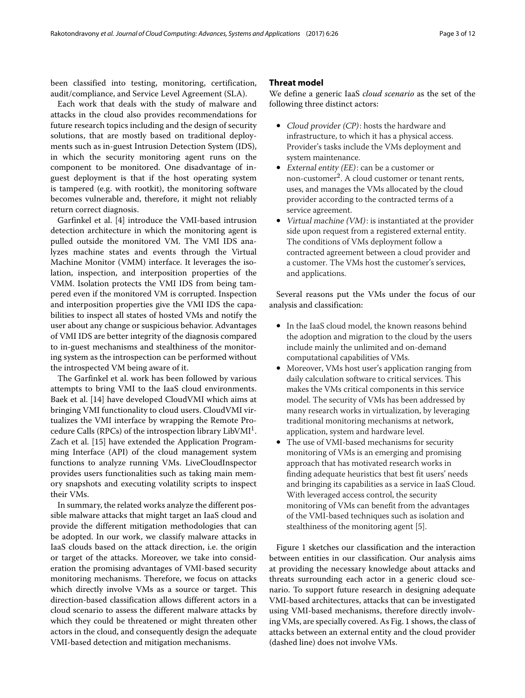been classified into testing, monitoring, certification, audit/compliance, and Service Level Agreement (SLA).

Each work that deals with the study of malware and attacks in the cloud also provides recommendations for future research topics including and the design of security solutions, that are mostly based on traditional deployments such as in-guest Intrusion Detection System (IDS), in which the security monitoring agent runs on the component to be monitored. One disadvantage of inguest deployment is that if the host operating system is tampered (e.g. with rootkit), the monitoring software becomes vulnerable and, therefore, it might not reliably return correct diagnosis.

Garfinkel et al. [\[4\]](#page-10-3) introduce the VMI-based intrusion detection architecture in which the monitoring agent is pulled outside the monitored VM. The VMI IDS analyzes machine states and events through the Virtual Machine Monitor (VMM) interface. It leverages the isolation, inspection, and interposition properties of the VMM. Isolation protects the VMI IDS from being tampered even if the monitored VM is corrupted. Inspection and interposition properties give the VMI IDS the capabilities to inspect all states of hosted VMs and notify the user about any change or suspicious behavior. Advantages of VMI IDS are better integrity of the diagnosis compared to in-guest mechanisms and stealthiness of the monitoring system as the introspection can be performed without the introspected VM being aware of it.

The Garfinkel et al. work has been followed by various attempts to bring VMI to the IaaS cloud environments. Baek et al. [\[14\]](#page-10-13) have developed CloudVMI which aims at bringing VMI functionality to cloud users. CloudVMI virtualizes the VMI interface by wrapping the Remote Procedure Calls (RPCs) of the introspection library LibVMI1. Zach et al. [\[15\]](#page-10-14) have extended the Application Programming Interface (API) of the cloud management system functions to analyze running VMs. LiveCloudInspector provides users functionalities such as taking main memory snapshots and executing volatility scripts to inspect their VMs.

In summary, the related works analyze the different possible malware attacks that might target an IaaS cloud and provide the different mitigation methodologies that can be adopted. In our work, we classify malware attacks in IaaS clouds based on the attack direction, i.e. the origin or target of the attacks. Moreover, we take into consideration the promising advantages of VMI-based security monitoring mechanisms. Therefore, we focus on attacks which directly involve VMs as a source or target. This direction-based classification allows different actors in a cloud scenario to assess the different malware attacks by which they could be threatened or might threaten other actors in the cloud, and consequently design the adequate VMI-based detection and mitigation mechanisms.

#### <span id="page-2-0"></span>**Threat model**

We define a generic IaaS *cloud scenario* as the set of the following three distinct actors:

- Cloud provider (CP): hosts the hardware and infrastructure, to which it has a physical access. Provider's tasks include the VMs deployment and system maintenance.
- External entity (EE): can be a customer or non-customer<sup>2</sup>. A cloud customer or tenant rents, uses, and manages the VMs allocated by the cloud provider according to the contracted terms of a service agreement.
- Virtual machine (VM): is instantiated at the provider side upon request from a registered external entity. The conditions of VMs deployment follow a contracted agreement between a cloud provider and a customer. The VMs host the customer's services, and applications.

Several reasons put the VMs under the focus of our analysis and classification:

- In the IaaS cloud model, the known reasons behind the adoption and migration to the cloud by the users include mainly the unlimited and on-demand computational capabilities of VMs.
- Moreover, VMs host user's application ranging from daily calculation software to critical services. This makes the VMs critical components in this service model. The security of VMs has been addressed by many research works in virtualization, by leveraging traditional monitoring mechanisms at network, application, system and hardware level.
- The use of VMI-based mechanisms for security monitoring of VMs is an emerging and promising approach that has motivated research works in finding adequate heuristics that best fit users' needs and bringing its capabilities as a service in IaaS Cloud. With leveraged access control, the security monitoring of VMs can benefit from the advantages of the VMI-based techniques such as isolation and stealthiness of the monitoring agent [\[5\]](#page-10-4).

Figure [1](#page-1-0) sketches our classification and the interaction between entities in our classification. Our analysis aims at providing the necessary knowledge about attacks and threats surrounding each actor in a generic cloud scenario. To support future research in designing adequate VMI-based architectures, attacks that can be investigated using VMI-based mechanisms, therefore directly involving VMs, are specially covered. As Fig. [1](#page-1-0) shows, the class of attacks between an external entity and the cloud provider (dashed line) does not involve VMs.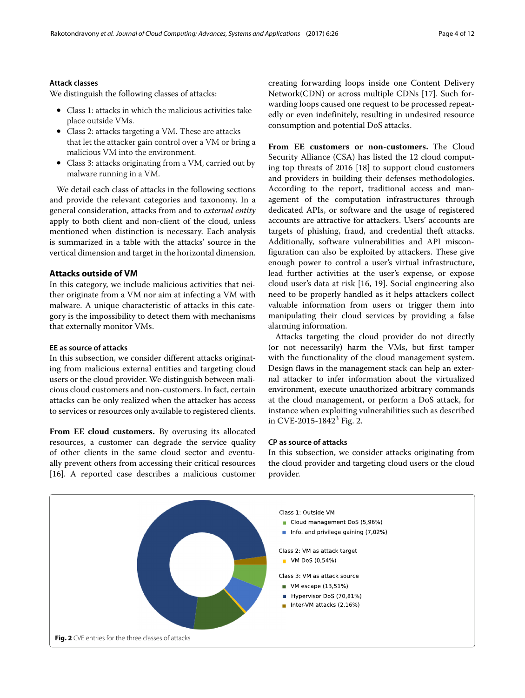#### <span id="page-3-2"></span>**Attack classes**

We distinguish the following classes of attacks:

- Class 1: attacks in which the malicious activities take place outside VMs.
- Class 2: attacks targeting a VM. These are attacks that let the attacker gain control over a VM or bring a malicious VM into the environment.
- Class 3: attacks originating from a VM, carried out by malware running in a VM.

We detail each class of attacks in the following sections and provide the relevant categories and taxonomy. In a general consideration, attacks from and to *external entity* apply to both client and non-client of the cloud, unless mentioned when distinction is necessary. Each analysis is summarized in a table with the attacks' source in the vertical dimension and target in the horizontal dimension.

#### <span id="page-3-3"></span>**Attacks outside of VM**

<span id="page-3-0"></span>In this category, we include malicious activities that neither originate from a VM nor aim at infecting a VM with malware. A unique characteristic of attacks in this category is the impossibility to detect them with mechanisms that externally monitor VMs.

#### **EE as source of attacks**

In this subsection, we consider different attacks originating from malicious external entities and targeting cloud users or the cloud provider. We distinguish between malicious cloud customers and non-customers. In fact, certain attacks can be only realized when the attacker has access to services or resources only available to registered clients.

**From EE cloud customers.** By overusing its allocated resources, a customer can degrade the service quality of other clients in the same cloud sector and eventually prevent others from accessing their critical resources [\[16\]](#page-10-15). A reported case describes a malicious customer creating forwarding loops inside one Content Delivery Network(CDN) or across multiple CDNs [\[17\]](#page-10-16). Such forwarding loops caused one request to be processed repeatedly or even indefinitely, resulting in undesired resource consumption and potential DoS attacks.

**From EE customers or non-customers.** The Cloud Security Alliance (CSA) has listed the 12 cloud computing top threats of 2016 [\[18\]](#page-10-17) to support cloud customers and providers in building their defenses methodologies. According to the report, traditional access and management of the computation infrastructures through dedicated APIs, or software and the usage of registered accounts are attractive for attackers. Users' accounts are targets of phishing, fraud, and credential theft attacks. Additionally, software vulnerabilities and API misconfiguration can also be exploited by attackers. These give enough power to control a user's virtual infrastructure, lead further activities at the user's expense, or expose cloud user's data at risk [\[16,](#page-10-15) [19\]](#page-10-18). Social engineering also need to be properly handled as it helps attackers collect valuable information from users or trigger them into manipulating their cloud services by providing a false alarming information.

Attacks targeting the cloud provider do not directly (or not necessarily) harm the VMs, but first tamper with the functionality of the cloud management system. Design flaws in the management stack can help an external attacker to infer information about the virtualized environment, execute unauthorized arbitrary commands at the cloud management, or perform a DoS attack, for instance when exploiting vulnerabilities such as described in CVE-2015-18423 Fig. [2.](#page-3-1)

#### **CP as source of attacks**

In this subsection, we consider attacks originating from the cloud provider and targeting cloud users or the cloud provider.

<span id="page-3-1"></span>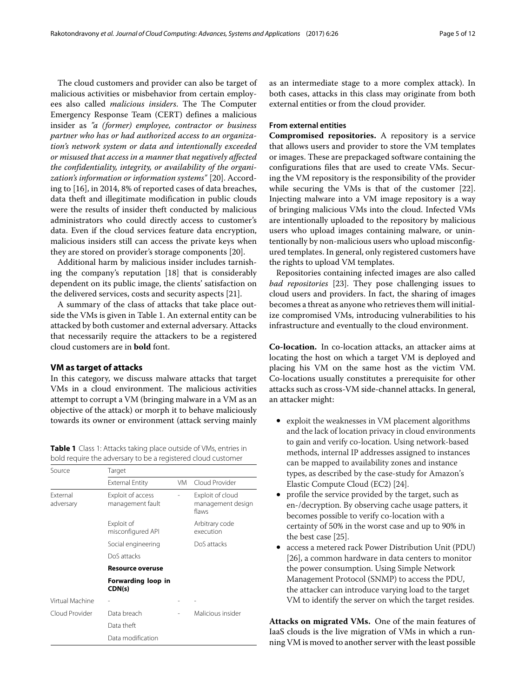The cloud customers and provider can also be target of malicious activities or misbehavior from certain employees also called *malicious insiders*. The The Computer Emergency Response Team (CERT) defines a malicious insider as *"a (former) employee, contractor or business partner who has or had authorized access to an organization's network system or data and intentionally exceeded or misused that access in a manner that negatively affected the confidentiality, integrity, or availability of the organization's information or information systems"* [\[20\]](#page-10-19). According to [\[16\]](#page-10-15), in 2014, 8% of reported cases of data breaches, data theft and illegitimate modification in public clouds were the results of insider theft conducted by malicious administrators who could directly access to customer's data. Even if the cloud services feature data encryption, malicious insiders still can access the private keys when they are stored on provider's storage components [\[20\]](#page-10-19).

Additional harm by malicious insider includes tarnishing the company's reputation [\[18\]](#page-10-17) that is considerably dependent on its public image, the clients' satisfaction on the delivered services, costs and security aspects [\[21\]](#page-10-20).

A summary of the class of attacks that take place outside the VMs is given in Table [1.](#page-4-1) An external entity can be attacked by both customer and external adversary. Attacks that necessarily require the attackers to be a registered cloud customers are in **bold** font.

#### <span id="page-4-0"></span>**VM as target of attacks**

In this category, we discuss malware attacks that target VMs in a cloud environment. The malicious activities attempt to corrupt a VM (bringing malware in a VM as an objective of the attack) or morph it to behave maliciously towards its owner or environment (attack serving mainly

<span id="page-4-1"></span>**Table 1** Class 1: Attacks taking place outside of VMs, entries in bold require the adversary to be a registered cloud customer

| Source                       | Target                                |    |                                                |  |
|------------------------------|---------------------------------------|----|------------------------------------------------|--|
|                              | <b>External Entity</b>                | VM | Cloud Provider                                 |  |
| <b>Fxternal</b><br>adversary | Exploit of access<br>management fault |    | Exploit of cloud<br>management design<br>flaws |  |
|                              | Exploit of<br>misconfigured API       |    | Arbitrary code<br>execution                    |  |
|                              | Social engineering                    |    | DoS attacks                                    |  |
|                              | DoS attacks                           |    |                                                |  |
|                              | <b>Resource overuse</b>               |    |                                                |  |
|                              | Forwarding loop in<br>CDN(s)          |    |                                                |  |
| Virtual Machine              |                                       |    |                                                |  |
| Cloud Provider               | Data breach                           |    | Malicious insider                              |  |
|                              | Data theft                            |    |                                                |  |
|                              | Data modification                     |    |                                                |  |

as an intermediate stage to a more complex attack). In both cases, attacks in this class may originate from both external entities or from the cloud provider.

### **From external entities**

**Compromised repositories.** A repository is a service that allows users and provider to store the VM templates or images. These are prepackaged software containing the configurations files that are used to create VMs. Securing the VM repository is the responsibility of the provider while securing the VMs is that of the customer [\[22\]](#page-10-21). Injecting malware into a VM image repository is a way of bringing malicious VMs into the cloud. Infected VMs are intentionally uploaded to the repository by malicious users who upload images containing malware, or unintentionally by non-malicious users who upload misconfigured templates. In general, only registered customers have the rights to upload VM templates.

Repositories containing infected images are also called *bad repositories* [\[23\]](#page-10-22). They pose challenging issues to cloud users and providers. In fact, the sharing of images becomes a threat as anyone who retrieves them will initialize compromised VMs, introducing vulnerabilities to his infrastructure and eventually to the cloud environment.

<span id="page-4-2"></span>**Co-location.** In co-location attacks, an attacker aims at locating the host on which a target VM is deployed and placing his VM on the same host as the victim VM. Co-locations usually constitutes a prerequisite for other attacks such as cross-VM side-channel attacks. In general, an attacker might:

- exploit the weaknesses in VM placement algorithms and the lack of location privacy in cloud environments to gain and verify co-location. Using network-based methods, internal IP addresses assigned to instances can be mapped to availability zones and instance types, as described by the case-study for Amazon's Elastic Compute Cloud (EC2) [\[24\]](#page-10-23).
- profile the service provided by the target, such as en-/decryption. By observing cache usage patters, it becomes possible to verify co-location with a certainty of 50% in the worst case and up to 90% in the best case [\[25\]](#page-10-24).
- access a metered rack Power Distribution Unit (PDU) [\[26\]](#page-10-25), a common hardware in data centers to monitor the power consumption. Using Simple Network Management Protocol (SNMP) to access the PDU, the attacker can introduce varying load to the target VM to identify the server on which the target resides.

**Attacks on migrated VMs.** One of the main features of IaaS clouds is the live migration of VMs in which a running VM is moved to another server with the least possible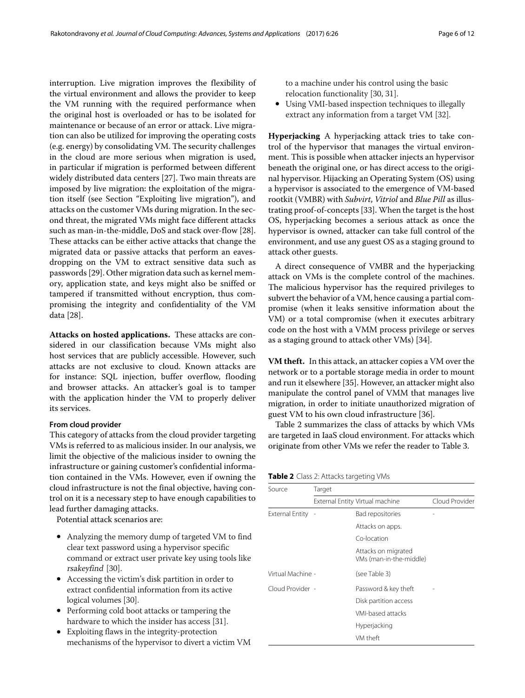interruption. Live migration improves the flexibility of the virtual environment and allows the provider to keep the VM running with the required performance when the original host is overloaded or has to be isolated for maintenance or because of an error or attack. Live migration can also be utilized for improving the operating costs (e.g. energy) by consolidating VM. The security challenges in the cloud are more serious when migration is used, in particular if migration is performed between different widely distributed data centers [\[27\]](#page-10-26). Two main threats are imposed by live migration: the exploitation of the migration itself (see Section ["Exploiting live migration"](#page-7-1)), and attacks on the customer VMs during migration. In the second threat, the migrated VMs might face different attacks such as man-in-the-middle, DoS and stack over-flow [\[28\]](#page-10-27). These attacks can be either active attacks that change the migrated data or passive attacks that perform an eavesdropping on the VM to extract sensitive data such as passwords [\[29\]](#page-10-28). Other migration data such as kernel memory, application state, and keys might also be sniffed or tampered if transmitted without encryption, thus compromising the integrity and confidentiality of the VM data [\[28\]](#page-10-27).

**Attacks on hosted applications.** These attacks are considered in our classification because VMs might also host services that are publicly accessible. However, such attacks are not exclusive to cloud. Known attacks are for instance: SQL injection, buffer overflow, flooding and browser attacks. An attacker's goal is to tamper with the application hinder the VM to properly deliver its services.

#### **From cloud provider**

This category of attacks from the cloud provider targeting VMs is referred to as malicious insider. In our analysis, we limit the objective of the malicious insider to owning the infrastructure or gaining customer's confidential information contained in the VMs. However, even if owning the cloud infrastructure is not the final objective, having control on it is a necessary step to have enough capabilities to lead further damaging attacks.

Potential attack scenarios are:

- Analyzing the memory dump of targeted VM to find clear text password using a hypervisor specific command or extract user private key using tools like rsakeyfind [\[30\]](#page-10-29).
- Accessing the victim's disk partition in order to extract confidential information from its active logical volumes [\[30\]](#page-10-29).
- Performing cold boot attacks or tampering the hardware to which the insider has access [\[31\]](#page-10-30).
- Exploiting flaws in the integrity-protection mechanisms of the hypervisor to divert a victim VM

to a machine under his control using the basic relocation functionality [\[30,](#page-10-29) [31\]](#page-10-30).

• Using VMI-based inspection techniques to illegally extract any information from a target VM [\[32\]](#page-10-31).

**Hyperjacking** A hyperjacking attack tries to take control of the hypervisor that manages the virtual environment. This is possible when attacker injects an hypervisor beneath the original one, or has direct access to the original hypervisor. Hijacking an Operating System (OS) using a hypervisor is associated to the emergence of VM-based rootkit (VMBR) with *Subvirt*, *Vitriol* and *Blue Pill* as illustrating proof-of-concepts [\[33\]](#page-10-32). When the target is the host OS, hyperjacking becomes a serious attack as once the hypervisor is owned, attacker can take full control of the environment, and use any guest OS as a staging ground to attack other guests.

A direct consequence of VMBR and the hyperjacking attack on VMs is the complete control of the machines. The malicious hypervisor has the required privileges to subvert the behavior of a VM, hence causing a partial compromise (when it leaks sensitive information about the VM) or a total compromise (when it executes arbitrary code on the host with a VMM process privilege or serves as a staging ground to attack other VMs) [\[34\]](#page-10-33).

**VM theft.** In this attack, an attacker copies a VM over the network or to a portable storage media in order to mount and run it elsewhere [\[35\]](#page-10-34). However, an attacker might also manipulate the control panel of VMM that manages live migration, in order to initiate unauthorized migration of guest VM to his own cloud infrastructure [\[36\]](#page-10-35).

Table [2](#page-5-0) summarizes the class of attacks by which VMs are targeted in IaaS cloud environment. For attacks which originate from other VMs we refer the reader to Table [3.](#page-6-0)

<span id="page-5-0"></span>**Table 2** Class 2: Attacks targeting VMs

| Source            | Target                          |                                                |                |  |
|-------------------|---------------------------------|------------------------------------------------|----------------|--|
|                   | External Entity Virtual machine |                                                | Cloud Provider |  |
| External Entity   | $\overline{\phantom{a}}$        | Bad repositories                               |                |  |
|                   |                                 | Attacks on apps.                               |                |  |
|                   |                                 | Co-location                                    |                |  |
|                   |                                 | Attacks on migrated<br>VMs (man-in-the-middle) |                |  |
| Virtual Machine - |                                 | (see Table 3)                                  |                |  |
| Cloud Provider -  |                                 | Password & key theft                           |                |  |
|                   |                                 | Disk partition access                          |                |  |
|                   |                                 | <b>VMI-based attacks</b>                       |                |  |
|                   |                                 | Hyperjacking                                   |                |  |
|                   |                                 | VM theft                                       |                |  |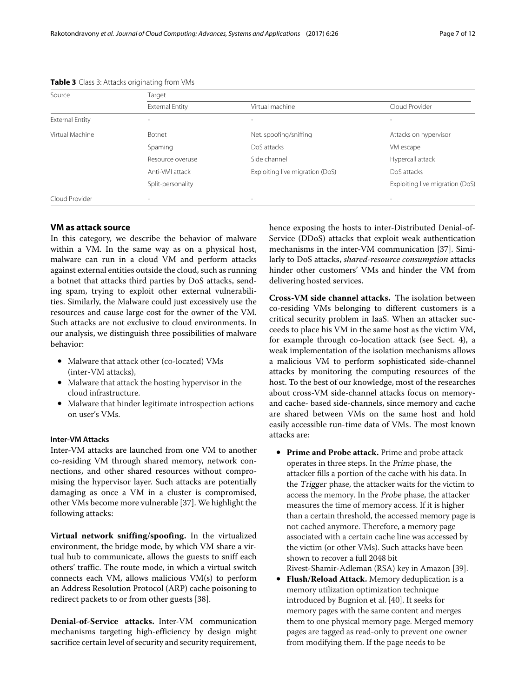| Source                 | Target                 |                                 |                                 |  |  |  |
|------------------------|------------------------|---------------------------------|---------------------------------|--|--|--|
|                        | <b>External Entity</b> | Virtual machine                 | Cloud Provider                  |  |  |  |
| <b>External Entity</b> | $\sim$                 | $\overline{\phantom{a}}$        | $\overline{\phantom{a}}$        |  |  |  |
| Virtual Machine        | <b>Botnet</b>          | Net. spoofing/sniffing          | Attacks on hypervisor           |  |  |  |
|                        | Spaming                | DoS attacks                     | VM escape                       |  |  |  |
|                        | Resource overuse       | Side channel                    | Hypercall attack                |  |  |  |
|                        | Anti-VMI attack        | Exploiting live migration (DoS) | DoS attacks                     |  |  |  |
|                        | Split-personality      |                                 | Exploiting live migration (DoS) |  |  |  |
| Cloud Provider         | $\sim$                 | $\sim$                          | $\sim$                          |  |  |  |

<span id="page-6-0"></span>**Table 3** Class 3: Attacks originating from VMs

#### **VM as attack source**

In this category, we describe the behavior of malware within a VM. In the same way as on a physical host, malware can run in a cloud VM and perform attacks against external entities outside the cloud, such as running a botnet that attacks third parties by DoS attacks, sending spam, trying to exploit other external vulnerabilities. Similarly, the Malware could just excessively use the resources and cause large cost for the owner of the VM. Such attacks are not exclusive to cloud environments. In our analysis, we distinguish three possibilities of malware behavior:

- Malware that attack other (co-located) VMs (inter-VM attacks),
- Malware that attack the hosting hypervisor in the cloud infrastructure.
- Malware that hinder legitimate introspection actions on user's VMs.

# **Inter-VM Attacks**

Inter-VM attacks are launched from one VM to another co-residing VM through shared memory, network connections, and other shared resources without compromising the hypervisor layer. Such attacks are potentially damaging as once a VM in a cluster is compromised, other VMs become more vulnerable [\[37\]](#page-10-36). We highlight the following attacks:

**Virtual network sniffing/spoofing.** In the virtualized environment, the bridge mode, by which VM share a virtual hub to communicate, allows the guests to sniff each others' traffic. The route mode, in which a virtual switch connects each VM, allows malicious VM(s) to perform an Address Resolution Protocol (ARP) cache poisoning to redirect packets to or from other guests [\[38\]](#page-10-37).

**Denial-of-Service attacks.** Inter-VM communication mechanisms targeting high-efficiency by design might sacrifice certain level of security and security requirement,

hence exposing the hosts to inter-Distributed Denial-of-Service (DDoS) attacks that exploit weak authentication mechanisms in the inter-VM communication [\[37\]](#page-10-36). Similarly to DoS attacks, *shared-resource consumption* attacks hinder other customers' VMs and hinder the VM from delivering hosted services.

**Cross-VM side channel attacks.** The isolation between co-residing VMs belonging to different customers is a critical security problem in IaaS. When an attacker succeeds to place his VM in the same host as the victim VM, for example through co-location attack (see Sect. [4\)](#page-4-2), a weak implementation of the isolation mechanisms allows a malicious VM to perform sophisticated side-channel attacks by monitoring the computing resources of the host. To the best of our knowledge, most of the researches about cross-VM side-channel attacks focus on memoryand cache- based side-channels, since memory and cache are shared between VMs on the same host and hold easily accessible run-time data of VMs. The most known attacks are:

• **Prime and Probe attack.** Prime and probe attack operates in three steps. In the Prime phase, the attacker fills a portion of the cache with his data. In the Trigger phase, the attacker waits for the victim to access the memory. In the Probe phase, the attacker measures the time of memory access. If it is higher than a certain threshold, the accessed memory page is not cached anymore. Therefore, a memory page associated with a certain cache line was accessed by the victim (or other VMs). Such attacks have been shown to recover a full 2048 bit

Rivest-Shamir-Adleman (RSA) key in Amazon [\[39\]](#page-10-38).

• **Flush/Reload Attack.** Memory deduplication is a memory utilization optimization technique introduced by Bugnion et al. [\[40\]](#page-10-39). It seeks for memory pages with the same content and merges them to one physical memory page. Merged memory pages are tagged as read-only to prevent one owner from modifying them. If the page needs to be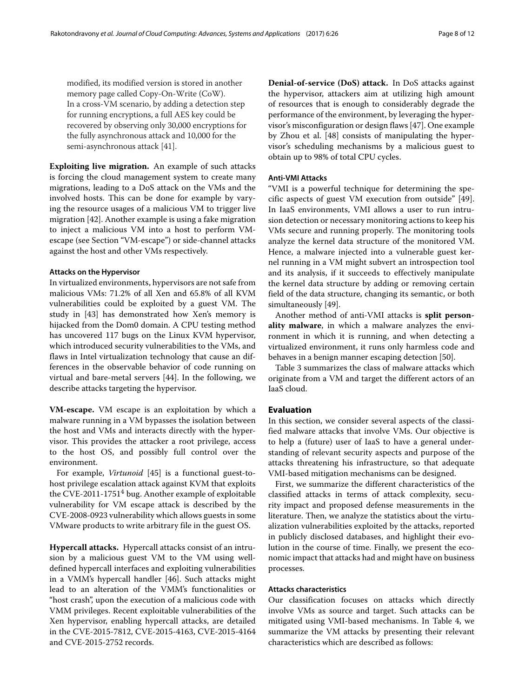modified, its modified version is stored in another memory page called Copy-On-Write (CoW). In a cross-VM scenario, by adding a detection step for running encryptions, a full AES key could be recovered by observing only 30,000 encryptions for the fully asynchronous attack and 10,000 for the semi-asynchronous attack [\[41\]](#page-10-40).

<span id="page-7-1"></span>**Exploiting live migration.** An example of such attacks is forcing the cloud management system to create many migrations, leading to a DoS attack on the VMs and the involved hosts. This can be done for example by varying the resource usages of a malicious VM to trigger live migration [\[42\]](#page-11-0). Another example is using a fake migration to inject a malicious VM into a host to perform VMescape (see Section ["VM-escape"](#page-7-2)) or side-channel attacks against the host and other VMs respectively.

#### **Attacks on the Hypervisor**

In virtualized environments, hypervisors are not safe from malicious VMs: 71.2% of all Xen and 65.8% of all KVM vulnerabilities could be exploited by a guest VM. The study in [\[43\]](#page-11-1) has demonstrated how Xen's memory is hijacked from the Dom0 domain. A CPU testing method has uncovered 117 bugs on the Linux KVM hypervisor, which introduced security vulnerabilities to the VMs, and flaws in Intel virtualization technology that cause an differences in the observable behavior of code running on virtual and bare-metal servers [\[44\]](#page-11-2). In the following, we describe attacks targeting the hypervisor.

<span id="page-7-2"></span>**VM-escape.** VM escape is an exploitation by which a malware running in a VM bypasses the isolation between the host and VMs and interacts directly with the hypervisor. This provides the attacker a root privilege, access to the host OS, and possibly full control over the environment.

For example, *Virtunoid* [\[45\]](#page-11-3) is a functional guest-tohost privilege escalation attack against KVM that exploits the CVE-2011-1751<sup>4</sup> bug. Another example of exploitable vulnerability for VM escape attack is described by the CVE-2008-0923 vulnerability which allows guests in some VMware products to write arbitrary file in the guest OS.

**Hypercall attacks.** Hypercall attacks consist of an intrusion by a malicious guest VM to the VM using welldefined hypercall interfaces and exploiting vulnerabilities in a VMM's hypercall handler [\[46\]](#page-11-4). Such attacks might lead to an alteration of the VMM's functionalities or "host crash", upon the execution of a malicious code with VMM privileges. Recent exploitable vulnerabilities of the Xen hypervisor, enabling hypercall attacks, are detailed in the CVE-2015-7812, CVE-2015-4163, CVE-2015-4164 and CVE-2015-2752 records.

**Denial-of-service (DoS) attack.** In DoS attacks against the hypervisor, attackers aim at utilizing high amount of resources that is enough to considerably degrade the performance of the environment, by leveraging the hypervisor's misconfiguration or design flaws [\[47\]](#page-11-5). One example by Zhou et al. [\[48\]](#page-11-6) consists of manipulating the hypervisor's scheduling mechanisms by a malicious guest to obtain up to 98% of total CPU cycles.

#### **Anti-VMI Attacks**

"VMI is a powerful technique for determining the specific aspects of guest VM execution from outside" [\[49\]](#page-11-7). In IaaS environments, VMI allows a user to run intrusion detection or necessary monitoring actions to keep his VMs secure and running properly. The monitoring tools analyze the kernel data structure of the monitored VM. Hence, a malware injected into a vulnerable guest kernel running in a VM might subvert an introspection tool and its analysis, if it succeeds to effectively manipulate the kernel data structure by adding or removing certain field of the data structure, changing its semantic, or both simultaneously [\[49\]](#page-11-7).

Another method of anti-VMI attacks is **split personality malware**, in which a malware analyzes the environment in which it is running, and when detecting a virtualized environment, it runs only harmless code and behaves in a benign manner escaping detection [\[50\]](#page-11-8).

Table [3](#page-6-0) summarizes the class of malware attacks which originate from a VM and target the different actors of an IaaS cloud.

#### <span id="page-7-0"></span>**Evaluation**

In this section, we consider several aspects of the classified malware attacks that involve VMs. Our objective is to help a (future) user of IaaS to have a general understanding of relevant security aspects and purpose of the attacks threatening his infrastructure, so that adequate VMI-based mitigation mechanisms can be designed.

First, we summarize the different characteristics of the classified attacks in terms of attack complexity, security impact and proposed defense measurements in the literature. Then, we analyze the statistics about the virtualization vulnerabilities exploited by the attacks, reported in publicly disclosed databases, and highlight their evolution in the course of time. Finally, we present the economic impact that attacks had and might have on business processes.

## **Attacks characteristics**

Our classification focuses on attacks which directly involve VMs as source and target. Such attacks can be mitigated using VMI-based mechanisms. In Table [4,](#page-8-0) we summarize the VM attacks by presenting their relevant characteristics which are described as follows: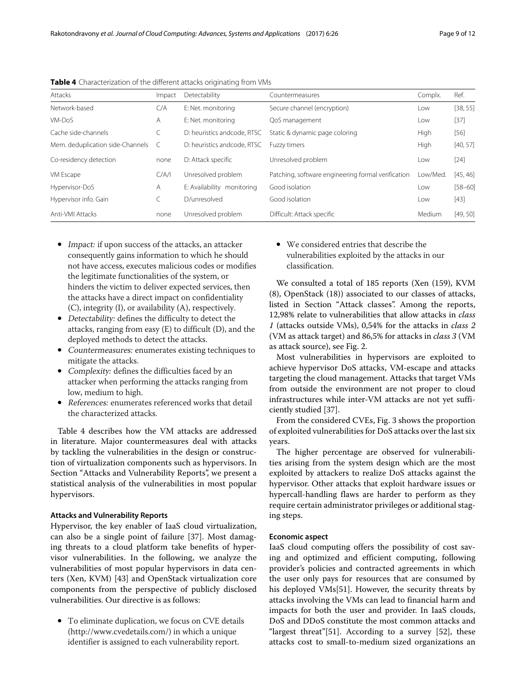<span id="page-8-0"></span>

| Attacks                          | Impact | Detectability               | Countermeasures                                    | Complx.  | Ref.        |
|----------------------------------|--------|-----------------------------|----------------------------------------------------|----------|-------------|
| Network-based                    | C/A    | E: Net. monitoring          | Secure channel (encryption)                        | Low      | [38, 55]    |
| VM-DoS                           | A      | E: Net. monitoring          | QoS management                                     | Low      | $[37]$      |
| Cache side-channels              |        | D: heuristics andcode, RTSC | Static & dynamic page coloring                     | High     | $[56]$      |
| Mem. deduplication side-Channels | C      | D: heuristics andcode, RTSC | Fuzzy timers                                       | High     | [40, 57]    |
| Co-residency detection           | none   | D: Attack specific          | Unresolved problem                                 | Low      | $[24]$      |
| VM Escape                        | C/ A   | Unresolved problem          | Patching, software engineering formal verification | Low/Med. | [45, 46]    |
| Hypervisor-DoS                   | A      | E: Availability monitoring  | Good isolation                                     | Low      | $[58 - 60]$ |
| Hypervisor info. Gain            |        | D/unresolved                | Good isolation                                     | Low      | $[43]$      |
| Anti-VMI Attacks                 | none   | Unresolved problem          | Difficult: Attack specific                         | Medium   | [49, 50]    |

**Table 4** Characterization of the different attacks originating from VMs

- Impact: if upon success of the attacks, an attacker consequently gains information to which he should not have access, executes malicious codes or modifies the legitimate functionalities of the system, or hinders the victim to deliver expected services, then the attacks have a direct impact on confidentiality (C), integrity (I), or availability (A), respectively.
- Detectability: defines the difficulty to detect the attacks, ranging from easy (E) to difficult (D), and the deployed methods to detect the attacks.
- Countermeasures: enumerates existing techniques to mitigate the attacks.
- Complexity: defines the difficulties faced by an attacker when performing the attacks ranging from low, medium to high.
- References: enumerates referenced works that detail the characterized attacks.

Table [4](#page-8-0) describes how the VM attacks are addressed in literature. Major countermeasures deal with attacks by tackling the vulnerabilities in the design or construction of virtualization components such as hypervisors. In Section ["Attacks and Vulnerability Reports"](#page-8-1), we present a statistical analysis of the vulnerabilities in most popular hypervisors.

#### <span id="page-8-1"></span>**Attacks and Vulnerability Reports**

Hypervisor, the key enabler of IaaS cloud virtualization, can also be a single point of failure [\[37\]](#page-10-36). Most damaging threats to a cloud platform take benefits of hypervisor vulnerabilities. In the following, we analyze the vulnerabilities of most popular hypervisors in data centers (Xen, KVM) [\[43\]](#page-11-1) and OpenStack virtualization core components from the perspective of publicly disclosed vulnerabilities. Our directive is as follows:

• To eliminate duplication, we focus on CVE details [\(http://www.cvedetails.com/\)](http://www.cvedetails.com/) in which a unique identifier is assigned to each vulnerability report.

• We considered entries that describe the vulnerabilities exploited by the attacks in our classification.

We consulted a total of 185 reports (Xen (159), KVM (8), OpenStack (18)) associated to our classes of attacks, listed in Section ["Attack classes"](#page-3-2). Among the reports, 12,98% relate to vulnerabilities that allow attacks in *class 1* (attacks outside VMs), 0,54% for the attacks in *class 2* (VM as attack target) and 86,5% for attacks in *class 3* (VM as attack source), see Fig. [2.](#page-3-1)

Most vulnerabilities in hypervisors are exploited to achieve hypervisor DoS attacks, VM-escape and attacks targeting the cloud management. Attacks that target VMs from outside the environment are not proper to cloud infrastructures while inter-VM attacks are not yet sufficiently studied [\[37\]](#page-10-36).

From the considered CVEs, Fig. [3](#page-9-1) shows the proportion of exploited vulnerabilities for DoS attacks over the last six years.

The higher percentage are observed for vulnerabilities arising from the system design which are the most exploited by attackers to realize DoS attacks against the hypervisor. Other attacks that exploit hardware issues or hypercall-handling flaws are harder to perform as they require certain administrator privileges or additional staging steps.

#### **Economic aspect**

IaaS cloud computing offers the possibility of cost saving and optimized and efficient computing, following provider's policies and contracted agreements in which the user only pays for resources that are consumed by his deployed VMs[\[51\]](#page-11-14). However, the security threats by attacks involving the VMs can lead to financial harm and impacts for both the user and provider. In IaaS clouds, DoS and DDoS constitute the most common attacks and "largest threat"[\[51\]](#page-11-14). According to a survey [\[52\]](#page-11-15), these attacks cost to small-to-medium sized organizations an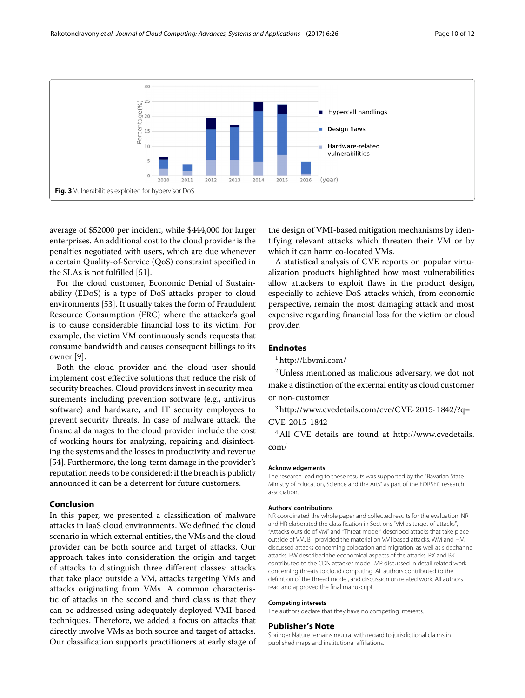

<span id="page-9-1"></span>average of \$52000 per incident, while \$444,000 for larger enterprises. An additional cost to the cloud provider is the penalties negotiated with users, which are due whenever a certain Quality-of-Service (QoS) constraint specified in the SLAs is not fulfilled [\[51\]](#page-11-14).

For the cloud customer, Economic Denial of Sustainability (EDoS) is a type of DoS attacks proper to cloud environments [\[53\]](#page-11-16). It usually takes the form of Fraudulent Resource Consumption (FRC) where the attacker's goal is to cause considerable financial loss to its victim. For example, the victim VM continuously sends requests that consume bandwidth and causes consequent billings to its owner [\[9\]](#page-10-8).

Both the cloud provider and the cloud user should implement cost effective solutions that reduce the risk of security breaches. Cloud providers invest in security measurements including prevention software (e.g., antivirus software) and hardware, and IT security employees to prevent security threats. In case of malware attack, the financial damages to the cloud provider include the cost of working hours for analyzing, repairing and disinfecting the systems and the losses in productivity and revenue [\[54\]](#page-11-17). Furthermore, the long-term damage in the provider's reputation needs to be considered: if the breach is publicly announced it can be a deterrent for future customers.

#### <span id="page-9-0"></span>**Conclusion**

In this paper, we presented a classification of malware attacks in IaaS cloud environments. We defined the cloud scenario in which external entities, the VMs and the cloud provider can be both source and target of attacks. Our approach takes into consideration the origin and target of attacks to distinguish three different classes: attacks that take place outside a VM, attacks targeting VMs and attacks originating from VMs. A common characteristic of attacks in the second and third class is that they can be addressed using adequately deployed VMI-based techniques. Therefore, we added a focus on attacks that directly involve VMs as both source and target of attacks. Our classification supports practitioners at early stage of the design of VMI-based mitigation mechanisms by identifying relevant attacks which threaten their VM or by which it can harm co-located VMs.

A statistical analysis of CVE reports on popular virtualization products highlighted how most vulnerabilities allow attackers to exploit flaws in the product design, especially to achieve DoS attacks which, from economic perspective, remain the most damaging attack and most expensive regarding financial loss for the victim or cloud provider.

#### **Endnotes**

<sup>1</sup> <http://libvmi.com/>

<sup>2</sup> Unless mentioned as malicious adversary, we dot not make a distinction of the external entity as cloud customer or non-customer

<sup>3</sup> [http://www.cvedetails.com/cve/CVE-2015-1842/?q=](http://www.cvedetails.com/cve/CVE-2015-1842/?q=CVE-2015-1842) [CVE-2015-1842](http://www.cvedetails.com/cve/CVE-2015-1842/?q=CVE-2015-1842)

<sup>4</sup> All CVE details are found at [http://www.cvedetails.](http://www.cvedetails.com/) [com/](http://www.cvedetails.com/)

#### **Acknowledgements**

The research leading to these results was supported by the "Bavarian State Ministry of Education, Science and the Arts" as part of the FORSEC research association.

#### **Authors' contributions**

NR coordinated the whole paper and collected results for the evaluation. NR and HR elaborated the classification in Sections ["VM as target of attacks"](#page-4-0), ["Attacks outside of VM"](#page-3-3) and ["Threat model"](#page-2-0) described attacks that take place outside of VM. BT provided the material on VMI based attacks. WM and HM discussed attacks concerning colocation and migration, as well as sidechannel attacks. EW described the economical aspects of the attacks. PX and BK contributed to the CDN attacker model. MP discussed in detail related work concerning threats to cloud computing. All authors contributed to the definition of the thread model, and discussion on related work. All authors read and approved the final manuscript.

#### **Competing interests**

The authors declare that they have no competing interests.

#### **Publisher's Note**

Springer Nature remains neutral with regard to jurisdictional claims in published maps and institutional affiliations.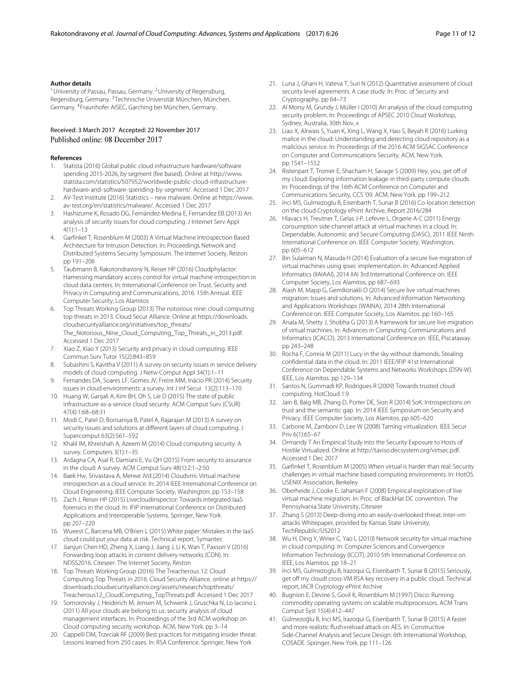#### **Author details**

<sup>1</sup> University of Passau, Passau, Germany. <sup>2</sup> University of Regensburg, Regensburg, Germany. <sup>3</sup>Technische Universität München, München, Germany. 4Fraunhofer AISEC, Garching bei München, Germany.

## Received: 3 March 2017 Accepted: 22 November 2017 Published online: 08 December 2017

#### **References**

- <span id="page-10-0"></span>1. Statista (2016) Global public cloud infrastructure hardware/software spending 2015-2026, by segment (fee based). Online at [http://www.](http://www.statista.com/statistics/507952/worldwide-public-cloud-infrastructure-hardware-and-software-spending-by-segment/) [statista.com/statistics/507952/worldwide-public-cloud-infrastructure](http://www.statista.com/statistics/507952/worldwide-public-cloud-infrastructure-hardware-and-software-spending-by-segment/)[hardware-and-software-spending-by-segment/.](http://www.statista.com/statistics/507952/worldwide-public-cloud-infrastructure-hardware-and-software-spending-by-segment/) Accessed 1 Dec 2017
- <span id="page-10-1"></span>2. AV-Test Institute (2016) Statistics – new malware. Online at [https://www.](https://www.av-test.org/en/statistics/malware/) [av-test.org/en/statistics/malware/.](https://www.av-test.org/en/statistics/malware/) Accessed 1 Dec 2017
- <span id="page-10-2"></span>3. Hashizume K, Rosado DG, Fernández-Medina E, Fernandez EB (2013) An analysis of security issues for cloud computing. J Internet Serv Appl  $4(1):1-13$
- <span id="page-10-3"></span>4. Garfinkel T, Rosenblum M (2003) A Virtual Machine Introspection Based Architecture for Intrusion Detection. In: Proceedings Network and Distributed Systems Security Symposium. The Internet Society, Reston. pp 191–206
- <span id="page-10-4"></span>5. Taubmann B, Rakotondravony N, Reiser HP (2016) Cloudphylactor: Harnessing mandatory access control for virtual machine introspection in cloud data centers. In: International Conference on Trust, Security and Privacy in Computing and Communications, 2016. 15th Annual. IEEE Computer Security, Los Alamitos
- <span id="page-10-5"></span>6. Top Threats Working Group (2013) The notorious nine: cloud computing top threats in 2013. Cloud Secur Alliance. Online at [https://downloads.](https://downloads.cloudsecurityalliance.org/initiatives/top_threats/The_Notorious_Nine_Cloud_Computing_Top_Threats_in_2013.pdf) [cloudsecurityalliance.org/initiatives/top\\_threats/](https://downloads.cloudsecurityalliance.org/initiatives/top_threats/The_Notorious_Nine_Cloud_Computing_Top_Threats_in_2013.pdf) [The\\_Notorious\\_Nine\\_Cloud\\_Computing\\_Top\\_Threats\\_in\\_2013.pdf.](https://downloads.cloudsecurityalliance.org/initiatives/top_threats/The_Notorious_Nine_Cloud_Computing_Top_Threats_in_2013.pdf) Accessed 1 Dec 2017
- <span id="page-10-6"></span>7. Xiao Z, Xiao Y (2013) Security and privacy in cloud computing. IEEE Commun Surv Tutor 15(2):843–859
- <span id="page-10-7"></span>8. Subashini S, Kavitha V (2011) A survey on security issues in service delivery models of cloud computing. J Netw Comput Appl 34(1):1–11
- <span id="page-10-8"></span>9. Fernandes DA, Soares LF, Gomes JV, Freire MM, Inácio PR (2014) Security issues in cloud environments: a survey. Int J Inf Secur 13(2):113–170
- <span id="page-10-9"></span>10. Huang W, Ganjali A, Kim BH, Oh S, Lie D (2015) The state of public infrastructure-as-a-service cloud security. ACM Comput Surv (CSUR) 47(4):1:68–68:31
- <span id="page-10-10"></span>11. Modi C, Patel D, Borisaniya B, Patel A, Rajarajan M (2013) A survey on security issues and solutions at different layers of cloud computing. J Supercomput 63(2):561–592
- <span id="page-10-11"></span>12. Khalil IM, Khreishah A, Azeem M (2014) Cloud computing security: A survey. Computers 3(1):1–35
- <span id="page-10-12"></span>13. Ardagna CA, Asal R, Damiani E, Vu QH (2015) From security to assurance in the cloud: A survey. ACM Comput Surv 48(1):2:1–2:50
- <span id="page-10-13"></span>14. Baek Hw, Srivastava A, Merwe JVd (2014) Cloudvmi: Virtual machine introspection as a cloud service. In: 2014 IEEE International Conference on Cloud Engineering. IEEE Computer Society, Washington. pp 153–158
- <span id="page-10-14"></span>15. Zach J, Reiser HP (2015) Livecloudinspector: Towards integrated IaaS forensics in the cloud. In: IFIP International Conference on Distributed Applications and Interoperable Systems. Springer, New York. pp 207–220
- <span id="page-10-15"></span>16. Wueest C, Barcena MB, O'Brien L (2015) White paper: Mistakes in the IaaS cloud could put your data at risk. Technical report, Symantec
- <span id="page-10-16"></span>17. Jianjun Chen HD, Zheng X, Liang J, Jiang J, Li K, Wan T, Paxson V (2016) Forwarding loop attacks in content delivery networks (CDN). In: NDSS2016. Citeseer. The Internet Society, Reston
- <span id="page-10-17"></span>18. Top Threats Working Group (2016) The Treacherous 12: Cloud Computing Top Threats in 2016. Cloud Security Alliance. online at [https://](https://downloads.cloudsecurityalliance.org/assets/research/topthreats/Treacherous12_CloudComputing_TopThreats.pdf) [downloads.cloudsecurityalliance.org/assets/research/topthreats/](https://downloads.cloudsecurityalliance.org/assets/research/topthreats/Treacherous12_CloudComputing_TopThreats.pdf) [Treacherous12\\_CloudComputing\\_TopThreats.pdf.](https://downloads.cloudsecurityalliance.org/assets/research/topthreats/Treacherous12_CloudComputing_TopThreats.pdf) Accessed 1 Dec 2017
- <span id="page-10-18"></span>19. Somorovsky J, Heiderich M, Jensen M, Schwenk J, Gruschka N, Lo Iacono L (2011) All your clouds are belong to us: security analysis of cloud management interfaces. In: Proceedings of the 3rd ACM workshop on Cloud computing security workshop. ACM, New York. pp 3–14
- <span id="page-10-19"></span>20. Cappelli DM, Trzeciak RF (2009) Best practices for mitigating insider threat: Lessons learned from 250 cases. In: RSA Conference. Springer, New York
- <span id="page-10-20"></span>21. Luna J, Ghani H, Vateva T, Suri N (2012) Quantitative assessment of cloud security level agreements: A case study. In: Proc. of Security and Cryptography. pp 64–73
- <span id="page-10-21"></span>22. Al Morsy M, Grundy J, Müller I (2010) An analysis of the cloud computing security problem. In: Proceedings of APSEC 2010 Cloud Workshop, Sydney, Australia, 30th Nov, x
- <span id="page-10-22"></span>23. Liao X, Alrwais S, Yuan K, Xing L, Wang X, Hao S, Beyah R (2016) Lurking malice in the cloud: Understanding and detecting cloud repository as a malicious service. In: Proceedings of the 2016 ACM SIGSAC Conference on Computer and Communications Security. ACM, New York. pp 1541–1552
- <span id="page-10-23"></span>24. Ristenpart T, Tromer E, Shacham H, Savage S (2009) Hey, you, get off of my cloud: Exploring information leakage in third-party compute clouds. In: Proceedings of the 16th ACM Conference on Computer and Communications Security, CCS '09. ACM, New York. pp 199–212
- <span id="page-10-24"></span>25. Inci MS, Gulmezoglu B, Eisenbarth T, Sunar B (2016) Co-location detection on the cloud Cryptology ePrint Archive, Report 2016/284
- <span id="page-10-25"></span>26. Hlavacs H, Treutner T, Gelas J-P, Lefevre L, Orgerie A-C (2011) Energy consumption side-channel attack at virtual machines in a cloud. In: Dependable, Autonomic and Secure Computing (DASC), 2011 IEEE Ninth International Conference on. IEEE Computer Society, Washington. pp 605–612
- <span id="page-10-26"></span>27. Bin Sulaiman N, Masuda H (2014) Evaluation of a secure live migration of virtual machines using ipsec implementation. In: Advanced Applied Informatics (IIAIAAI), 2014 IIAI 3rd International Conference on. IEEE Computer Society, Los Alamitos. pp 687–693
- <span id="page-10-27"></span>28. Aiash M, Mapp G, Gemikonakli O (2014) Secure live virtual machines migration: Issues and solutions. In: Advanced Information Networking and Applications Workshops (WAINA), 2014 28th International Conference on. IEEE Computer Society, Los Alamitos. pp 160–165
- <span id="page-10-28"></span>29. Anala M, Shetty J, Shobha G (2013) A framework for secure live migration of virtual machines. In: Advances in Computing, Communications and Informatics (ICACCI), 2013 International Conference on. IEEE, Piscataway. pp 243–248
- <span id="page-10-29"></span>30. Rocha F, Correia M (2011) Lucy in the sky without diamonds: Stealing confidential data in the cloud. In: 2011 IEEE/IFIP 41st International Conference on Dependable Systems and Networks Workshops (DSN-W). IEEE, Los Alamitos. pp 129–134
- <span id="page-10-30"></span>31. Santos N, Gummadi KP, Rodrigues R (2009) Towards trusted cloud computing. HotCloud 1:9
- <span id="page-10-31"></span>32. Jain B, Baig MB, Zhang D, Porter DE, Sion R (2014) SoK: Introspections on trust and the semantic gap. In: 2014 IEEE Symposium on Security and Privacy. IEEE Computer Society, Los Alamitos. pp 605–620
- <span id="page-10-32"></span>33. Carbone M, Zamboni D, Lee W (2008) Taming virtualization. IEEE Secur Priv 6(1):65–67
- <span id="page-10-33"></span>34. Ormandy T An Empirical Study into the Security Exposure to Hosts of Hostile Virtualized. Online at [http://taviso.decsystem.org/virtsec.pdf.](http://taviso.decsystem.org/virtsec.pdf) Accessed 1 Dec 2017
- <span id="page-10-34"></span>35. Garfinkel T, Rosenblum M (2005) When virtual is harder than real: Security challenges in virtual machine based computing environments. In: HotOS. USENIX Association, Berkeley
- <span id="page-10-35"></span>36. Oberheide J, Cooke E, Jahanian F (2008) Empirical exploitation of live virtual machine migration. In: Proc. of BlackHat DC convention. The Pennsylvania State University, Citeseer
- <span id="page-10-36"></span>37. Zhang S (2013) Deep-diving into an easily-overlooked threat: Inter-vm attacks Whitepaper, provided by Kansas State University, TechRepublic/US2012
- <span id="page-10-37"></span>38. Wu H, Ding Y, Winer C, Yao L (2010) Network security for virtual machine in cloud computing. In: Computer Sciences and Convergence Information Technology (ICCIT), 2010 5th International Conference on. IEEE, Los Alamitos. pp 18–21
- <span id="page-10-38"></span>39. Inci MS, Gulmezoglu B, Irazoqui G, Eisenbarth T, Sunar B (2015) Seriously, get off my cloud! cross-VM RSA key recovery in a public cloud. Technical report, IACR Cryptology ePrint Archive
- <span id="page-10-39"></span>40. Bugnion E, Devine S, Govil K, Rosenblum M (1997) Disco: Running commodity operating systems on scalable multiprocessors. ACM Trans Comput Syst 15(4):412–447
- <span id="page-10-40"></span>41. Gülmezoğlu B, İnci MS, Irazoqui G, Eisenbarth T, Sunar B (2015) A faster and more realistic flush+reload attack on AES. In: Constructive Side-Channel Analysis and Secure Design: 6th International Workshop, COSADE. Springer, New York. pp 111–126